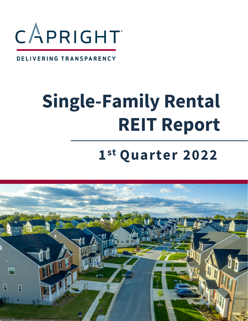

#### DELIVERING TRANSPARENCY

# **Single-Family Rental REIT Report**

# **1 st Quarter 2022**

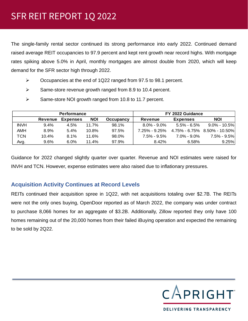The single-family rental sector continued its strong performance into early 2022. Continued demand raised average REIT occupancies to 97.9 percent and kept rent growth near record highs. With mortgage rates spiking above 5.0% in April, monthly mortgages are almost double from 2020, which will keep demand for the SFR sector high through 2022.

- ➢ Occupancies at the end of 1Q22 ranged from 97.5 to 98.1 percent.
- ➢ Same-store revenue growth ranged from 8.9 to 10.4 percent.
- ➢ Same-store NOI growth ranged from 10.8 to 11.7 percent.

| <b>Performance</b> |                |                 |            |                  | FY 2022 Guidance  |                   |                              |  |
|--------------------|----------------|-----------------|------------|------------------|-------------------|-------------------|------------------------------|--|
|                    | <b>Revenue</b> | <b>Expenses</b> | <b>NOI</b> | <b>Occupancy</b> | <b>Revenue</b>    | <b>Expenses</b>   | <b>NOI</b>                   |  |
| <b>INVH</b>        | $9.4\%$        | 4.5%            | 11.7%      | 98.1%            | $8.0\% - 9.0\%$   | $5.5\%$ - $6.5\%$ | $9.0\%$ - 10.5%              |  |
| AMH                | $8.9\%$        | 5.4%            | 10.8%      | 97.5%            | $7.25\% - 9.25\%$ |                   | 4.75% - 6.75% 8.50% - 10.50% |  |
| TCN                | 10.4%          | 8.1%            | 11.6%      | 98.0%            | $7.5\%$ - $9.5\%$ | $7.0\%$ - $9.0\%$ | 7.5% - 9.5%                  |  |
| Avg.               | 9.6%           | 6.0%            | 11.4%      | 97.9%            | 8.42%             | 6.58%             | 9.25%                        |  |

Guidance for 2022 changed slightly quarter over quarter. Revenue and NOI estimates were raised for INVH and TCN. However, expense estimates were also raised due to inflationary pressures.

#### **Acquisition Activity Continues at Record Levels**

REITs continued their acquisition spree in 1Q22, with net acquisitions totaling over \$2.7B. The REITs were not the only ones buying, OpenDoor reported as of March 2022, the company was under contract to purchase 8,066 homes for an aggregate of \$3.2B. Additionally, Zillow reported they only have 100 homes remaining out of the 20,000 homes from their failed iBuying operation and expected the remaining to be sold by 2Q22.

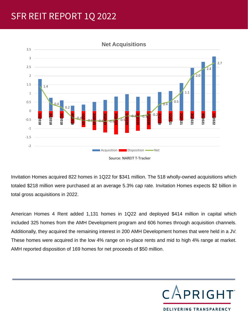# SFR REIT REPORT 1Q 2022



#### **Net Acquisitions**

Invitation Homes acquired 822 homes in 1Q22 for \$341 million. The 518 wholly-owned acquisitions which totaled \$218 million were purchased at an average 5.3% cap rate. Invitation Homes expects \$2 billion in total gross acquisitions in 2022.

American Homes 4 Rent added 1,131 homes in 1Q22 and deployed \$414 million in capital which included 325 homes from the AMH Development program and 606 homes through acquisition channels. Additionally, they acquired the remaining interest in 200 AMH Development homes that were held in a JV. These homes were acquired in the low 4% range on in-place rents and mid to high 4% range at market. AMH reported disposition of 169 homes for net proceeds of \$50 million.



DELIVERING TRANSPARENCY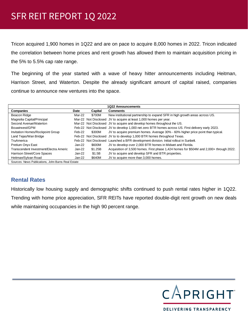Tricon acquired 1,900 homes in 1Q22 and are on pace to acquire 8,000 homes in 2022. Tricon indicated the correlation between home prices and rent growth has allowed them to maintain acquisition pricing in the 5% to 5.5% cap rate range.

The beginning of the year started with a wave of heavy hitter announcements including Heitman, Harrison Street, and Waterton. Despite the already significant amount of capital raised, companies continue to announce new ventures into the space.

| <b>1Q22 Announcements</b>                          |          |         |                                                                                                   |  |  |
|----------------------------------------------------|----------|---------|---------------------------------------------------------------------------------------------------|--|--|
| Companies                                          | Date     | Capital | <b>Comments</b>                                                                                   |  |  |
| Beacon Ridge                                       | Mar-22   | \$700M  | New institutional partnership to expand SFR in high growth areas across US.                       |  |  |
| Magnolia Capital/Principal                         |          |         | Mar-22 Not Disclosed JV to acquire at least 1,000 homes per year.                                 |  |  |
| Second Avenue/Waterton                             |          |         | Mar-22 Not Disclosed JV to acquire and develop homes throughout the US.                           |  |  |
| Bouwinvest/GPM                                     |          |         | Feb-22 Not Disclosed JV to develop 1,000 net zero BTR homes across US. First delivery early 2023. |  |  |
| Invitation Homes/Rockpoint Group                   | Feb-22   | \$300M  | JV to acquire premium homes. Average 30% - 60% higher price point than typical.                   |  |  |
| Land Tejas/Wan Bridge                              |          |         | Feb-22 Not Disclosed JV to to develop 1,000 BTR homes throughout Texas.                           |  |  |
| TruAmerica                                         |          |         | Feb-22 Not Disclosed Launched a BFR development division. Initial rollout in Sunbelt.             |  |  |
| Pretium Onyx East                                  | $Jan-22$ | \$600M  | JV to develop over 2,000 BTR homes in Midwet and Florida.                                         |  |  |
| Transcendent Investment/Electra Americ             | $Jan-22$ | \$1.25B | Acquisition of 3,500 homes. First phase 1,424 homes for \$504M and 2,000+ through 2022.           |  |  |
| Harrison Street/Core Spaces                        | Jan-22   | \$1.5B  | JV to acquire and develop SFR and BTR properties.                                                 |  |  |
| Heitman/Sylvan Road                                | Jan-22   | \$640M  | JV to acquire more than 3,000 homes.                                                              |  |  |
| Sources: News Publications, John Burns Real Estate |          |         |                                                                                                   |  |  |

#### **Rental Rates**

Historically low housing supply and demographic shifts continued to push rental rates higher in 1Q22. Trending with home price appreciation, SFR REITs have reported double-digit rent growth on new deals while maintaining occupancies in the high 90 percent range.



DELIVERING TRANSPARENCY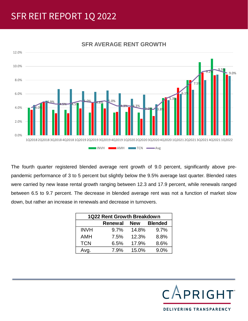### SFR REIT REPORT 1Q 2022



#### **SFR AVERAGE RENT GROWTH**

The fourth quarter registered blended average rent growth of 9.0 percent, significantly above prepandemic performance of 3 to 5 percent but slightly below the 9.5% average last quarter. Blended rates were carried by new lease rental growth ranging between 12.3 and 17.9 percent, while renewals ranged between 6.5 to 9.7 percent. The decrease in blended average rent was not a function of market slow down, but rather an increase in renewals and decrease in turnovers.

| 1Q22 Rent Growth Breakdown |                |            |                |  |  |  |  |
|----------------------------|----------------|------------|----------------|--|--|--|--|
|                            | <b>Renewal</b> | <b>New</b> | <b>Blended</b> |  |  |  |  |
| <b>INVH</b>                | 9.7%           | 14.8%      | 9.7%           |  |  |  |  |
| <b>AMH</b>                 | 7.5%           | 12.3%      | 8.8%           |  |  |  |  |
| <b>TCN</b>                 | 6.5%           | 17.9%      | 8.6%           |  |  |  |  |
| Avg.                       | 7.9%           | 15.0%      | 9.0%           |  |  |  |  |

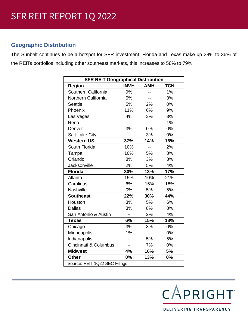#### **Geographic Distribution**

The Sunbelt continues to be a hotspot for SFR investment. Florida and Texas make up 28% to 36% of the REITs portfolios including other southeast markets, this increases to 58% to 79%.

| <b>SFR REIT Geographical Distribution</b> |                |                          |            |  |  |  |
|-------------------------------------------|----------------|--------------------------|------------|--|--|--|
| Region                                    | <b>INVH</b>    | <b>AMH</b>               | <b>TCN</b> |  |  |  |
| Southern California                       | 9%             | --                       | 1%         |  |  |  |
| Northern California                       | 5%             | --                       | 3%         |  |  |  |
| <b>Seattle</b>                            | 5%             | 2%                       | 0%         |  |  |  |
| Phoenix                                   | 11%            | 6%                       | 9%         |  |  |  |
| Las Vegas                                 | 4%             | 3%                       | 3%         |  |  |  |
| Reno                                      | $-$            | --                       | 1%         |  |  |  |
| Denver                                    | 3%             | 0%                       | 0%         |  |  |  |
| <b>Salt Lake City</b>                     | $\overline{a}$ | 3%                       | 0%         |  |  |  |
| <b>Western US</b>                         | 37%            | 14%                      | 16%        |  |  |  |
| South Florida                             | 10%            | Ξ.                       | 2%         |  |  |  |
| Tampa                                     | 10%            | 5%                       | 8%         |  |  |  |
| Orlando                                   | 8%             | 3%                       | 3%         |  |  |  |
| <b>Jacksonville</b>                       | 2%             | 5%                       | 4%         |  |  |  |
| <b>Florida</b>                            | 30%            | 13%                      | 17%        |  |  |  |
| Atlanta                                   | 15%            | 10%                      | 21%        |  |  |  |
| Carolinas                                 | 6%             | 15%                      | 18%        |  |  |  |
| Nashville                                 | 0%             | 5%                       | 5%         |  |  |  |
| <b>Southeast</b>                          | 22%            | 30%                      | 44%        |  |  |  |
| Houston                                   | 3%             | 5%                       | 6%         |  |  |  |
| <b>Dallas</b>                             | 3%             | 8%                       | 8%         |  |  |  |
| San Antonio & Austin                      | --             | 2%                       | 4%         |  |  |  |
| <b>Texas</b>                              | 6%             | 15%                      | 18%        |  |  |  |
| Chicago                                   | 3%             | 3%                       | 0%         |  |  |  |
| Minneapolis                               | 1%             | $\overline{\phantom{a}}$ | 0%         |  |  |  |
| Indianapolis                              |                | 5%                       | 5%         |  |  |  |
| Cincinnati & Columbus                     |                | 7%                       | 0%         |  |  |  |
| <b>Midwest</b>                            | 4%             | 16%                      | 5%         |  |  |  |
| <b>Other</b>                              | 0%             | 13%                      | 0%         |  |  |  |
| Source: REIT 1Q22 SEC Filings             |                |                          |            |  |  |  |